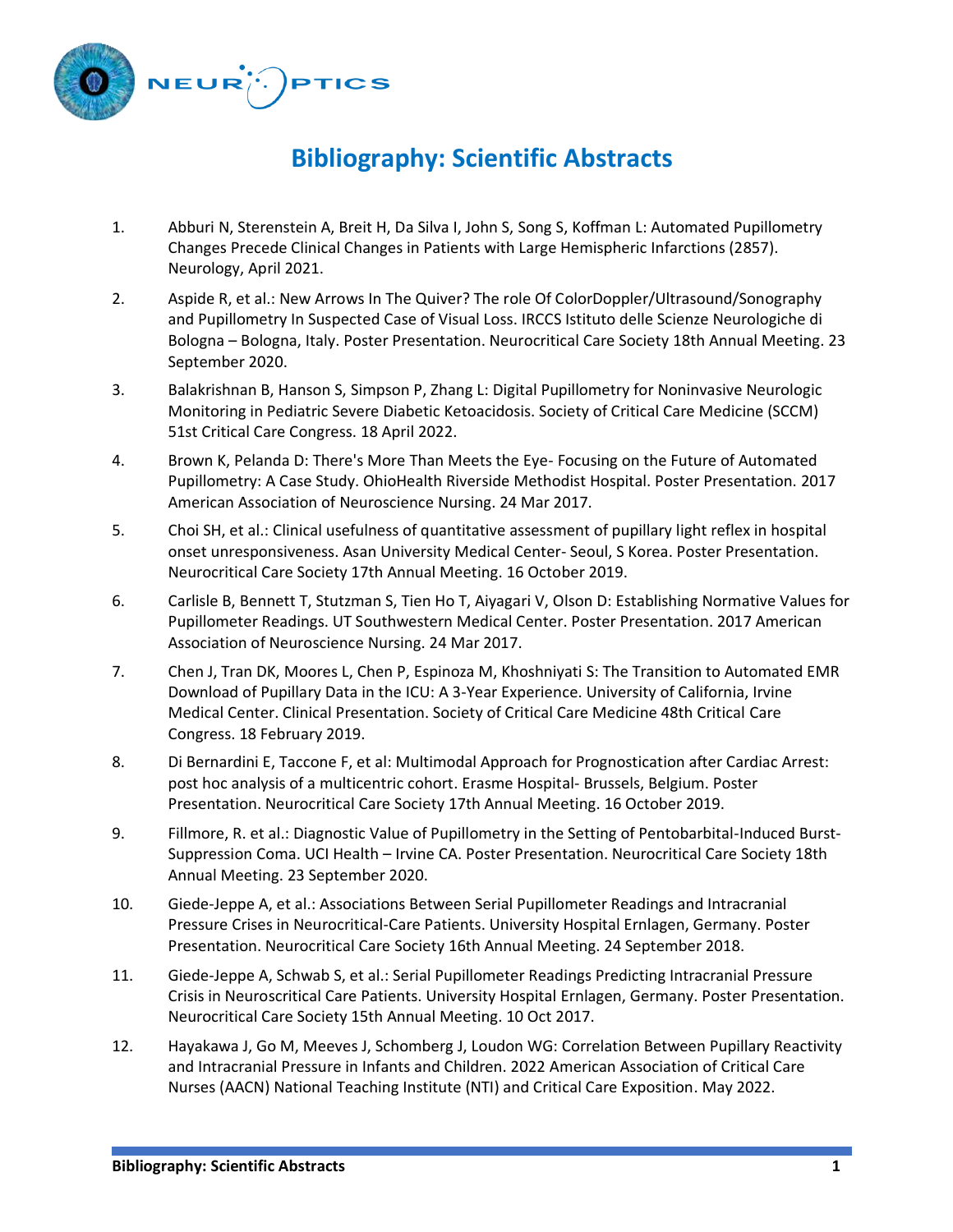

## **Bibliography: Scientific Abstracts**

- 1. Abburi N, Sterenstein A, Breit H, Da Silva I, John S, Song S, Koffman L: Automated Pupillometry Changes Precede Clinical Changes in Patients with Large Hemispheric Infarctions (2857). Neurology, April 2021.
- 2. Aspide R, et al.: New Arrows In The Quiver? The role Of ColorDoppler/Ultrasound/Sonography and Pupillometry In Suspected Case of Visual Loss. IRCCS Istituto delle Scienze Neurologiche di Bologna – Bologna, Italy. Poster Presentation. Neurocritical Care Society 18th Annual Meeting. 23 September 2020.
- 3. Balakrishnan B, Hanson S, Simpson P, Zhang L: Digital Pupillometry for Noninvasive Neurologic Monitoring in Pediatric Severe Diabetic Ketoacidosis. Society of Critical Care Medicine (SCCM) 51st Critical Care Congress. 18 April 2022.
- 4. Brown K, Pelanda D: There's More Than Meets the Eye- Focusing on the Future of Automated Pupillometry: A Case Study. OhioHealth Riverside Methodist Hospital. Poster Presentation. 2017 American Association of Neuroscience Nursing. 24 Mar 2017.
- 5. Choi SH, et al.: Clinical usefulness of quantitative assessment of pupillary light reflex in hospital onset unresponsiveness. Asan University Medical Center- Seoul, S Korea. Poster Presentation. Neurocritical Care Society 17th Annual Meeting. 16 October 2019.
- 6. Carlisle B, Bennett T, Stutzman S, Tien Ho T, Aiyagari V, Olson D: Establishing Normative Values for Pupillometer Readings. UT Southwestern Medical Center. Poster Presentation. 2017 American Association of Neuroscience Nursing. 24 Mar 2017.
- 7. Chen J, Tran DK, Moores L, Chen P, Espinoza M, Khoshniyati S: The Transition to Automated EMR Download of Pupillary Data in the ICU: A 3-Year Experience. University of California, Irvine Medical Center. Clinical Presentation. Society of Critical Care Medicine 48th Critical Care Congress. 18 February 2019.
- 8. Di Bernardini E, Taccone F, et al: Multimodal Approach for Prognostication after Cardiac Arrest: post hoc analysis of a multicentric cohort. Erasme Hospital- Brussels, Belgium. Poster Presentation. Neurocritical Care Society 17th Annual Meeting. 16 October 2019.
- 9. Fillmore, R. et al.: Diagnostic Value of Pupillometry in the Setting of Pentobarbital-Induced Burst-Suppression Coma. UCI Health – Irvine CA. Poster Presentation. Neurocritical Care Society 18th Annual Meeting. 23 September 2020.
- 10. Giede-Jeppe A, et al.: Associations Between Serial Pupillometer Readings and Intracranial Pressure Crises in Neurocritical-Care Patients. University Hospital Ernlagen, Germany. Poster Presentation. Neurocritical Care Society 16th Annual Meeting. 24 September 2018.
- 11. Giede-Jeppe A, Schwab S, et al.: Serial Pupillometer Readings Predicting Intracranial Pressure Crisis in Neuroscritical Care Patients. University Hospital Ernlagen, Germany. Poster Presentation. Neurocritical Care Society 15th Annual Meeting. 10 Oct 2017.
- 12. Hayakawa J, Go M, Meeves J, Schomberg J, Loudon WG: Correlation Between Pupillary Reactivity and Intracranial Pressure in Infants and Children. 2022 American Association of Critical Care Nurses (AACN) National Teaching Institute (NTI) and Critical Care Exposition. May 2022.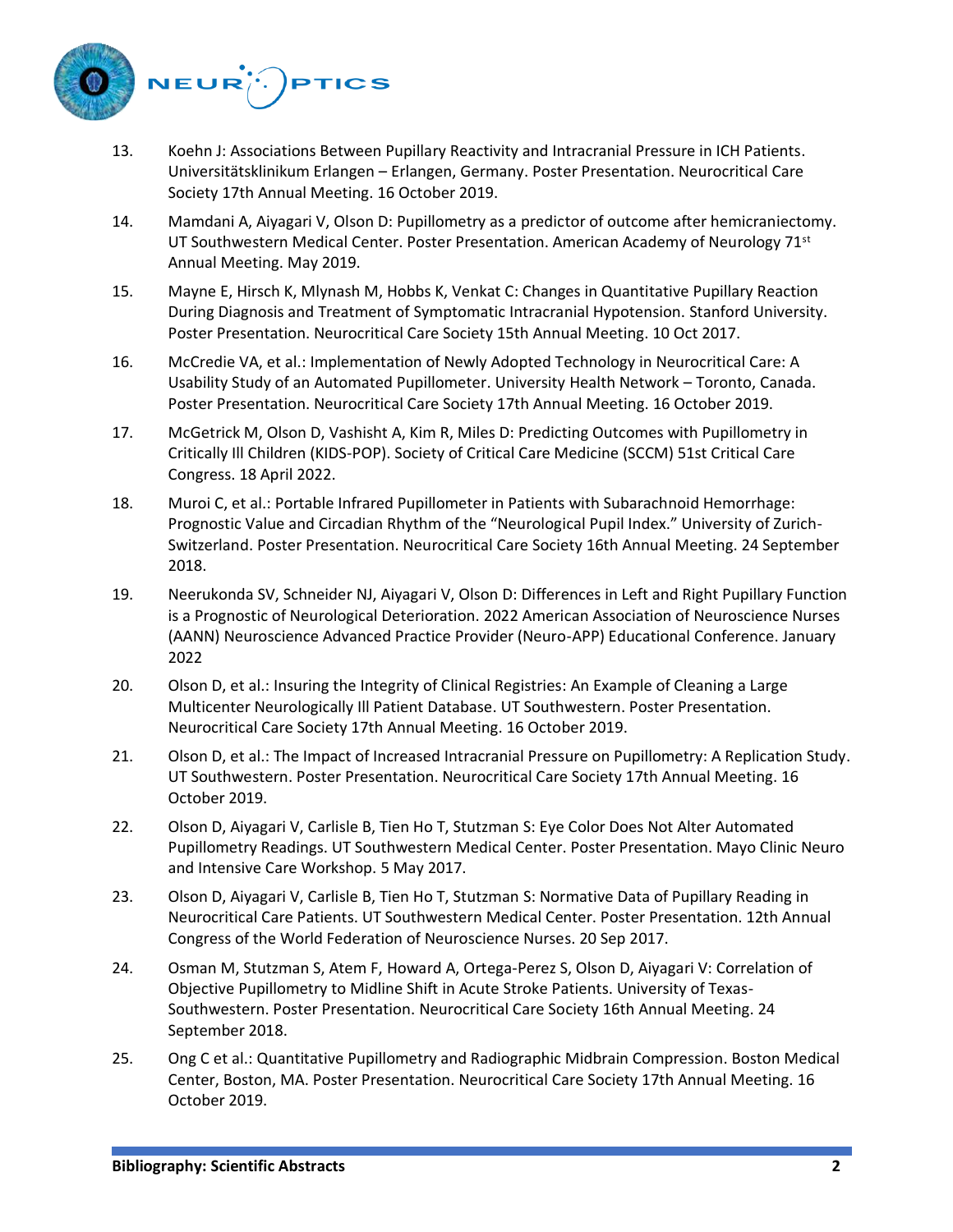

- 13. Koehn J: Associations Between Pupillary Reactivity and Intracranial Pressure in ICH Patients. Universitätsklinikum Erlangen – Erlangen, Germany. Poster Presentation. Neurocritical Care Society 17th Annual Meeting. 16 October 2019.
- 14. Mamdani A, Aiyagari V, Olson D: Pupillometry as a predictor of outcome after hemicraniectomy. UT Southwestern Medical Center. Poster Presentation. American Academy of Neurology  $71<sup>st</sup>$ Annual Meeting. May 2019.
- 15. Mayne E, Hirsch K, Mlynash M, Hobbs K, Venkat C: Changes in Quantitative Pupillary Reaction During Diagnosis and Treatment of Symptomatic Intracranial Hypotension. Stanford University. Poster Presentation. Neurocritical Care Society 15th Annual Meeting. 10 Oct 2017.
- 16. McCredie VA, et al.: Implementation of Newly Adopted Technology in Neurocritical Care: A Usability Study of an Automated Pupillometer. University Health Network – Toronto, Canada. Poster Presentation. Neurocritical Care Society 17th Annual Meeting. 16 October 2019.
- 17. McGetrick M, Olson D, Vashisht A, Kim R, Miles D: Predicting Outcomes with Pupillometry in Critically Ill Children (KIDS-POP). Society of Critical Care Medicine (SCCM) 51st Critical Care Congress. 18 April 2022.
- 18. Muroi C, et al.: Portable Infrared Pupillometer in Patients with Subarachnoid Hemorrhage: Prognostic Value and Circadian Rhythm of the "Neurological Pupil Index." University of Zurich-Switzerland. Poster Presentation. Neurocritical Care Society 16th Annual Meeting. 24 September 2018.
- 19. Neerukonda SV, Schneider NJ, Aiyagari V, Olson D: Differences in Left and Right Pupillary Function is a Prognostic of Neurological Deterioration. 2022 American Association of Neuroscience Nurses (AANN) Neuroscience Advanced Practice Provider (Neuro-APP) Educational Conference. January 2022
- 20. Olson D, et al.: Insuring the Integrity of Clinical Registries: An Example of Cleaning a Large Multicenter Neurologically Ill Patient Database. UT Southwestern. Poster Presentation. Neurocritical Care Society 17th Annual Meeting. 16 October 2019.
- 21. Olson D, et al.: The Impact of Increased Intracranial Pressure on Pupillometry: A Replication Study. UT Southwestern. Poster Presentation. Neurocritical Care Society 17th Annual Meeting. 16 October 2019.
- 22. Olson D, Aiyagari V, Carlisle B, Tien Ho T, Stutzman S: Eye Color Does Not Alter Automated Pupillometry Readings. UT Southwestern Medical Center. Poster Presentation. Mayo Clinic Neuro and Intensive Care Workshop. 5 May 2017.
- 23. Olson D, Aiyagari V, Carlisle B, Tien Ho T, Stutzman S: Normative Data of Pupillary Reading in Neurocritical Care Patients. UT Southwestern Medical Center. Poster Presentation. 12th Annual Congress of the World Federation of Neuroscience Nurses. 20 Sep 2017.
- 24. Osman M, Stutzman S, Atem F, Howard A, Ortega-Perez S, Olson D, Aiyagari V: Correlation of Objective Pupillometry to Midline Shift in Acute Stroke Patients. University of Texas-Southwestern. Poster Presentation. Neurocritical Care Society 16th Annual Meeting. 24 September 2018.
- 25. Ong C et al.: Quantitative Pupillometry and Radiographic Midbrain Compression. Boston Medical Center, Boston, MA. Poster Presentation. Neurocritical Care Society 17th Annual Meeting. 16 October 2019.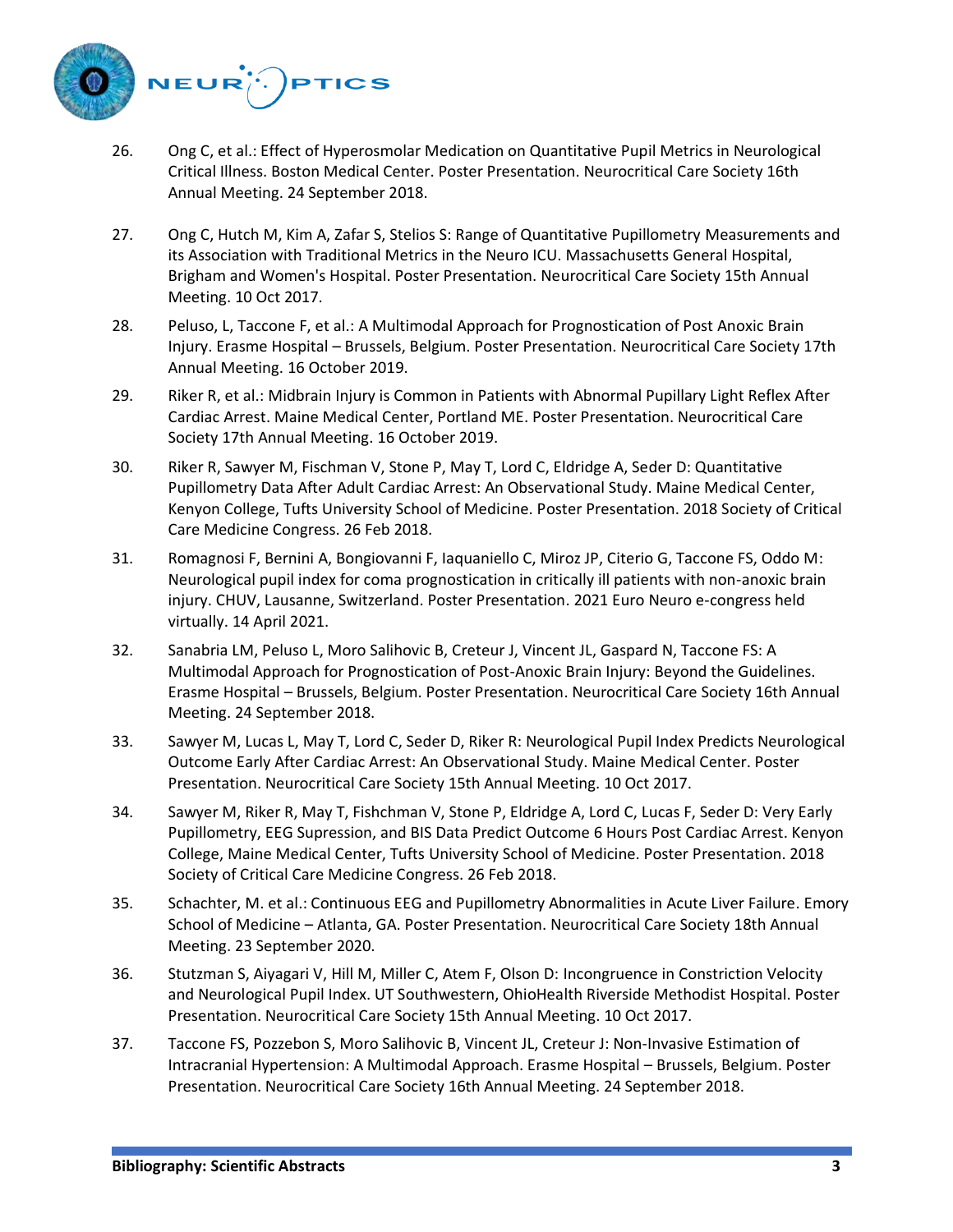

- 26. Ong C, et al.: Effect of Hyperosmolar Medication on Quantitative Pupil Metrics in Neurological Critical Illness. Boston Medical Center. Poster Presentation. Neurocritical Care Society 16th Annual Meeting. 24 September 2018.
- 27. Ong C, Hutch M, Kim A, Zafar S, Stelios S: Range of Quantitative Pupillometry Measurements and its Association with Traditional Metrics in the Neuro ICU. Massachusetts General Hospital, Brigham and Women's Hospital. Poster Presentation. Neurocritical Care Society 15th Annual Meeting. 10 Oct 2017.
- 28. Peluso, L, Taccone F, et al.: A Multimodal Approach for Prognostication of Post Anoxic Brain Injury. Erasme Hospital – Brussels, Belgium. Poster Presentation. Neurocritical Care Society 17th Annual Meeting. 16 October 2019.
- 29. Riker R, et al.: Midbrain Injury is Common in Patients with Abnormal Pupillary Light Reflex After Cardiac Arrest. Maine Medical Center, Portland ME. Poster Presentation. Neurocritical Care Society 17th Annual Meeting. 16 October 2019.
- 30. Riker R, Sawyer M, Fischman V, Stone P, May T, Lord C, Eldridge A, Seder D: Quantitative Pupillometry Data After Adult Cardiac Arrest: An Observational Study. Maine Medical Center, Kenyon College, Tufts University School of Medicine. Poster Presentation. 2018 Society of Critical Care Medicine Congress. 26 Feb 2018.
- 31. Romagnosi F, Bernini A, Bongiovanni F, Iaquaniello C, Miroz JP, Citerio G, Taccone FS, Oddo M: Neurological pupil index for coma prognostication in critically ill patients with non-anoxic brain injury. CHUV, Lausanne, Switzerland. Poster Presentation. 2021 Euro Neuro e-congress held virtually. 14 April 2021.
- 32. Sanabria LM, Peluso L, Moro Salihovic B, Creteur J, Vincent JL, Gaspard N, Taccone FS: A Multimodal Approach for Prognostication of Post-Anoxic Brain Injury: Beyond the Guidelines. Erasme Hospital – Brussels, Belgium. Poster Presentation. Neurocritical Care Society 16th Annual Meeting. 24 September 2018.
- 33. Sawyer M, Lucas L, May T, Lord C, Seder D, Riker R: Neurological Pupil Index Predicts Neurological Outcome Early After Cardiac Arrest: An Observational Study. Maine Medical Center. Poster Presentation. Neurocritical Care Society 15th Annual Meeting. 10 Oct 2017.
- 34. Sawyer M, Riker R, May T, Fishchman V, Stone P, Eldridge A, Lord C, Lucas F, Seder D: Very Early Pupillometry, EEG Supression, and BIS Data Predict Outcome 6 Hours Post Cardiac Arrest. Kenyon College, Maine Medical Center, Tufts University School of Medicine. Poster Presentation. 2018 Society of Critical Care Medicine Congress. 26 Feb 2018.
- 35. Schachter, M. et al.: Continuous EEG and Pupillometry Abnormalities in Acute Liver Failure. Emory School of Medicine – Atlanta, GA. Poster Presentation. Neurocritical Care Society 18th Annual Meeting. 23 September 2020.
- 36. Stutzman S, Aiyagari V, Hill M, Miller C, Atem F, Olson D: Incongruence in Constriction Velocity and Neurological Pupil Index. UT Southwestern, OhioHealth Riverside Methodist Hospital. Poster Presentation. Neurocritical Care Society 15th Annual Meeting. 10 Oct 2017.
- 37. Taccone FS, Pozzebon S, Moro Salihovic B, Vincent JL, Creteur J: Non-Invasive Estimation of Intracranial Hypertension: A Multimodal Approach. Erasme Hospital – Brussels, Belgium. Poster Presentation. Neurocritical Care Society 16th Annual Meeting. 24 September 2018.